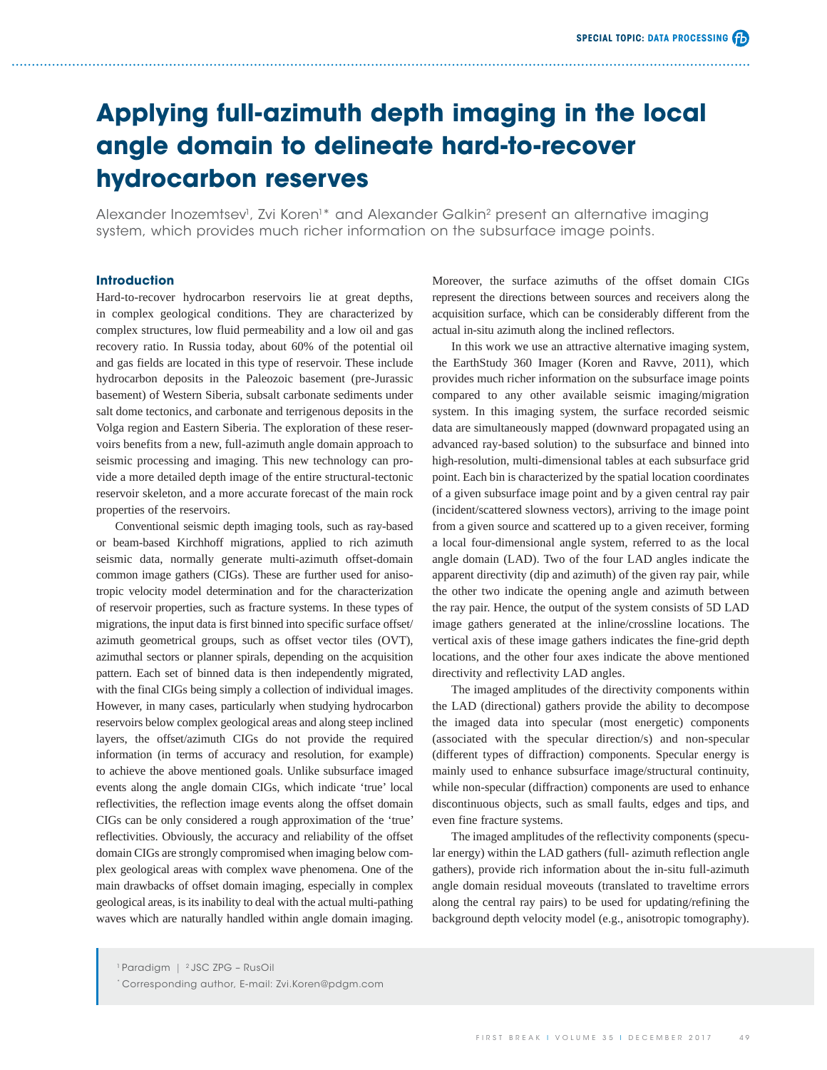# **Applying full-azimuth depth imaging in the local angle domain to delineate hard-to-recover hydrocarbon reserves**

Alexander Inozemtsev<sup>1</sup>, Zvi Koren<sup>1</sup>\* and Alexander Galkin<sup>2</sup> present an alternative imaging system, which provides much richer information on the subsurface image points.

## **Introduction**

Hard-to-recover hydrocarbon reservoirs lie at great depths, in complex geological conditions. They are characterized by complex structures, low fluid permeability and a low oil and gas recovery ratio. In Russia today, about 60% of the potential oil and gas fields are located in this type of reservoir. These include hydrocarbon deposits in the Paleozoic basement (pre-Jurassic basement) of Western Siberia, subsalt carbonate sediments under salt dome tectonics, and carbonate and terrigenous deposits in the Volga region and Eastern Siberia. The exploration of these reservoirs benefits from a new, full-azimuth angle domain approach to seismic processing and imaging. This new technology can provide a more detailed depth image of the entire structural-tectonic reservoir skeleton, and a more accurate forecast of the main rock properties of the reservoirs.

Conventional seismic depth imaging tools, such as ray-based or beam-based Kirchhoff migrations, applied to rich azimuth seismic data, normally generate multi-azimuth offset-domain common image gathers (CIGs). These are further used for anisotropic velocity model determination and for the characterization of reservoir properties, such as fracture systems. In these types of migrations, the input data is first binned into specific surface offset/ azimuth geometrical groups, such as offset vector tiles (OVT), azimuthal sectors or planner spirals, depending on the acquisition pattern. Each set of binned data is then independently migrated, with the final CIGs being simply a collection of individual images. However, in many cases, particularly when studying hydrocarbon reservoirs below complex geological areas and along steep inclined layers, the offset/azimuth CIGs do not provide the required information (in terms of accuracy and resolution, for example) to achieve the above mentioned goals. Unlike subsurface imaged events along the angle domain CIGs, which indicate 'true' local reflectivities, the reflection image events along the offset domain CIGs can be only considered a rough approximation of the 'true' reflectivities. Obviously, the accuracy and reliability of the offset domain CIGs are strongly compromised when imaging below complex geological areas with complex wave phenomena. One of the main drawbacks of offset domain imaging, especially in complex geological areas, is its inability to deal with the actual multi-pathing waves which are naturally handled within angle domain imaging.

In this work we use an attractive alternative imaging system, the EarthStudy 360 Imager (Koren and Ravve, 2011), which provides much richer information on the subsurface image points compared to any other available seismic imaging/migration system. In this imaging system, the surface recorded seismic data are simultaneously mapped (downward propagated using an advanced ray-based solution) to the subsurface and binned into high-resolution, multi-dimensional tables at each subsurface grid point. Each bin is characterized by the spatial location coordinates of a given subsurface image point and by a given central ray pair (incident/scattered slowness vectors), arriving to the image point from a given source and scattered up to a given receiver, forming a local four-dimensional angle system, referred to as the local angle domain (LAD). Two of the four LAD angles indicate the apparent directivity (dip and azimuth) of the given ray pair, while the other two indicate the opening angle and azimuth between the ray pair. Hence, the output of the system consists of 5D LAD image gathers generated at the inline/crossline locations. The vertical axis of these image gathers indicates the fine-grid depth locations, and the other four axes indicate the above mentioned directivity and reflectivity LAD angles.

The imaged amplitudes of the directivity components within the LAD (directional) gathers provide the ability to decompose the imaged data into specular (most energetic) components (associated with the specular direction/s) and non-specular (different types of diffraction) components. Specular energy is mainly used to enhance subsurface image/structural continuity, while non-specular (diffraction) components are used to enhance discontinuous objects, such as small faults, edges and tips, and even fine fracture systems.

The imaged amplitudes of the reflectivity components (specular energy) within the LAD gathers (full- azimuth reflection angle gathers), provide rich information about the in-situ full-azimuth angle domain residual moveouts (translated to traveltime errors along the central ray pairs) to be used for updating/refining the background depth velocity model (e.g., anisotropic tomography).

Moreover, the surface azimuths of the offset domain CIGs represent the directions between sources and receivers along the acquisition surface, which can be considerably different from the actual in-situ azimuth along the inclined reflectors.

<sup>1</sup> Paradigm | 2 JSC ZPG – RusOil

<sup>\*</sup> Corresponding author, E-mail: Zvi.Koren@pdgm.com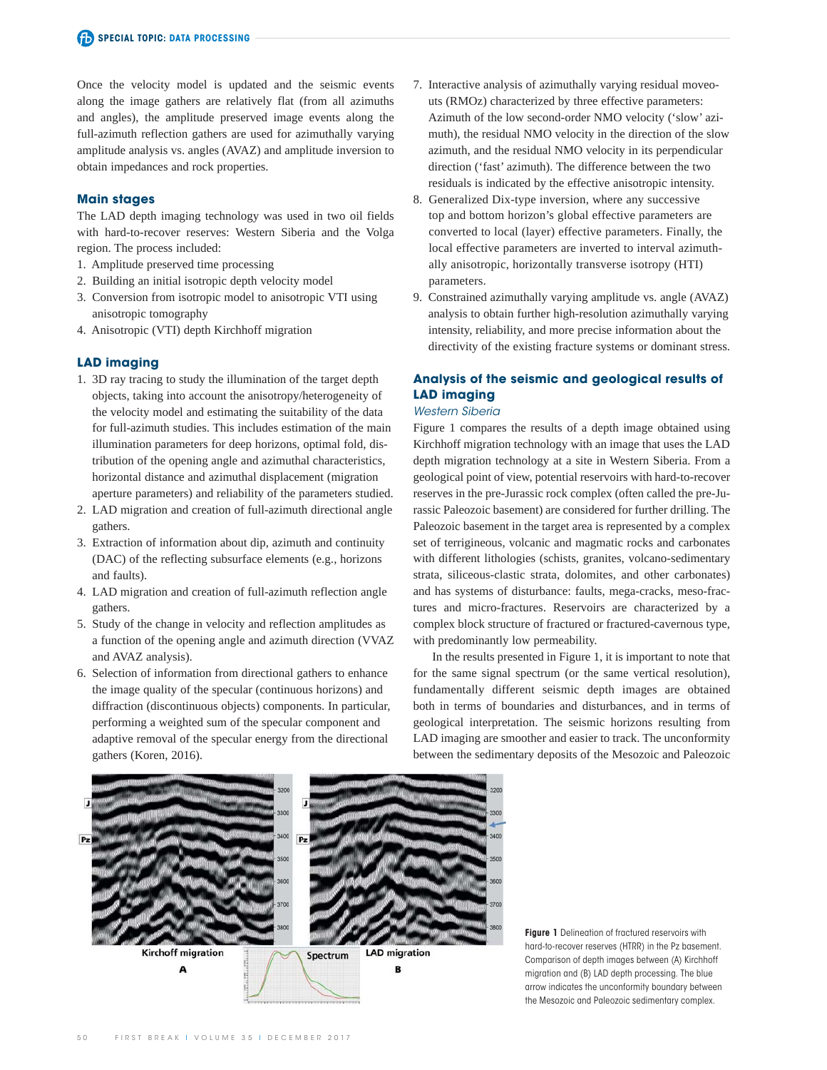Once the velocity model is updated and the seismic events along the image gathers are relatively flat (from all azimuths and angles), the amplitude preserved image events along the full-azimuth reflection gathers are used for azimuthally varying amplitude analysis vs. angles (AVAZ) and amplitude inversion to obtain impedances and rock properties.

## **Main stages**

The LAD depth imaging technology was used in two oil fields with hard-to-recover reserves: Western Siberia and the Volga region. The process included:

- 1. Amplitude preserved time processing
- 2. Building an initial isotropic depth velocity model
- 3. Conversion from isotropic model to anisotropic VTI using anisotropic tomography
- 4. Anisotropic (VTI) depth Kirchhoff migration

## **LAD imaging**

- 1. 3D ray tracing to study the illumination of the target depth objects, taking into account the anisotropy/heterogeneity of the velocity model and estimating the suitability of the data for full-azimuth studies. This includes estimation of the main illumination parameters for deep horizons, optimal fold, distribution of the opening angle and azimuthal characteristics, horizontal distance and azimuthal displacement (migration aperture parameters) and reliability of the parameters studied.
- 2. LAD migration and creation of full-azimuth directional angle gathers.
- 3. Extraction of information about dip, azimuth and continuity (DAC) of the reflecting subsurface elements (e.g., horizons and faults).
- 4. LAD migration and creation of full-azimuth reflection angle gathers.
- 5. Study of the change in velocity and reflection amplitudes as a function of the opening angle and azimuth direction (VVAZ and AVAZ analysis).
- 6. Selection of information from directional gathers to enhance the image quality of the specular (continuous horizons) and diffraction (discontinuous objects) components. In particular, performing a weighted sum of the specular component and adaptive removal of the specular energy from the directional gathers (Koren, 2016).
- 7. Interactive analysis of azimuthally varying residual moveouts (RMOz) characterized by three effective parameters: Azimuth of the low second-order NMO velocity ('slow' azimuth), the residual NMO velocity in the direction of the slow azimuth, and the residual NMO velocity in its perpendicular direction ('fast' azimuth). The difference between the two residuals is indicated by the effective anisotropic intensity.
- 8. Generalized Dix-type inversion, where any successive top and bottom horizon's global effective parameters are converted to local (layer) effective parameters. Finally, the local effective parameters are inverted to interval azimuthally anisotropic, horizontally transverse isotropy (HTI) parameters.
- 9. Constrained azimuthally varying amplitude vs. angle (AVAZ) analysis to obtain further high-resolution azimuthally varying intensity, reliability, and more precise information about the directivity of the existing fracture systems or dominant stress.

# **Analysis of the seismic and geological results of LAD imaging**

## Western Siberia

Figure 1 compares the results of a depth image obtained using Kirchhoff migration technology with an image that uses the LAD depth migration technology at a site in Western Siberia. From a geological point of view, potential reservoirs with hard-to-recover reserves in the pre-Jurassic rock complex (often called the pre-Jurassic Paleozoic basement) are considered for further drilling. The Paleozoic basement in the target area is represented by a complex set of terrigineous, volcanic and magmatic rocks and carbonates with different lithologies (schists, granites, volcano-sedimentary strata, siliceous-clastic strata, dolomites, and other carbonates) and has systems of disturbance: faults, mega-cracks, meso-fractures and micro-fractures. Reservoirs are characterized by a complex block structure of fractured or fractured-cavernous type, with predominantly low permeability.

In the results presented in Figure 1, it is important to note that for the same signal spectrum (or the same vertical resolution), fundamentally different seismic depth images are obtained both in terms of boundaries and disturbances, and in terms of geological interpretation. The seismic horizons resulting from LAD imaging are smoother and easier to track. The unconformity between the sedimentary deposits of the Mesozoic and Paleozoic



**Figure 1** Delineation of fractured reservoirs with hard-to-recover reserves (HTRR) in the Pz basement. Comparison of depth images between (A) Kirchhoff migration and (B) LAD depth processing. The blue arrow indicates the unconformity boundary between the Mesozoic and Paleozoic sedimentary complex.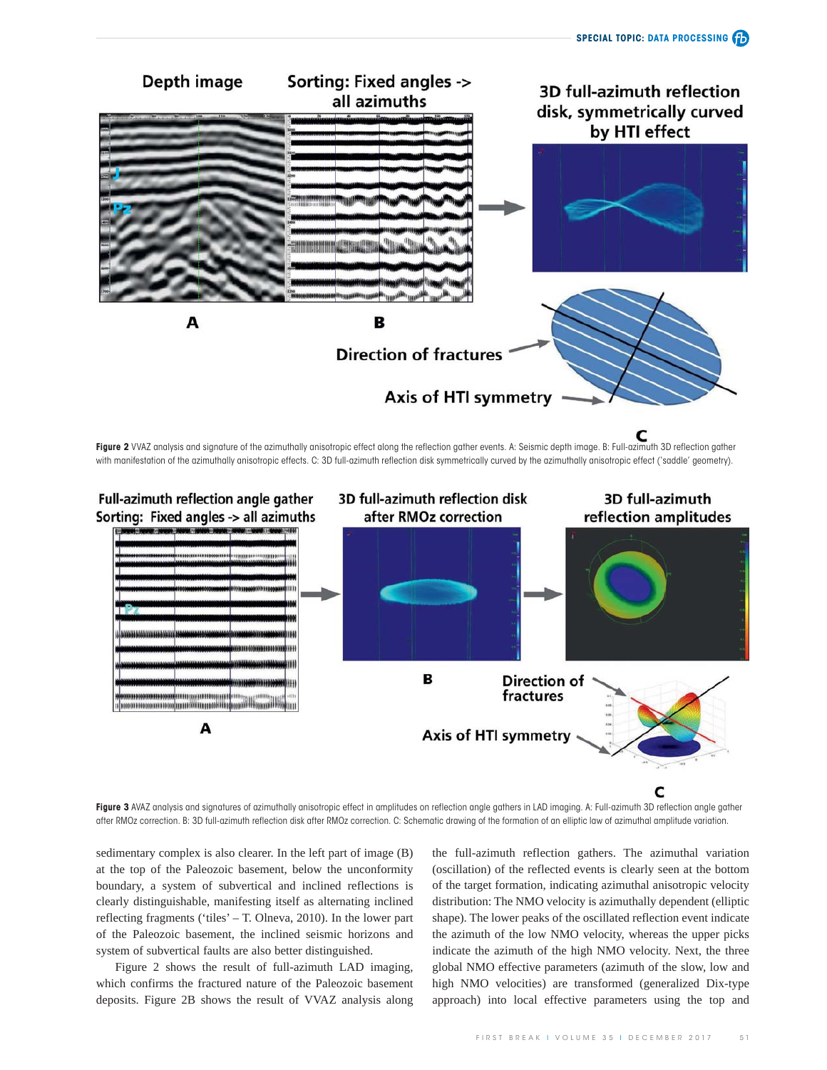

**Figure 2** VVAZ analysis and signature of the azimuthally anisotropic effect along the reflection gather events. A: Seismic depth image. B: Full-azimuth 3D reflection gather with manifestation of the azimuthally anisotropic effects. C: 3D full-azimuth reflection disk symmetrically curved by the azimuthally anisotropic effect ('saddle' geometry).



Figure 3 AVAZ analysis and signatures of azimuthally anisotropic effect in amplitudes on reflection angle gathers in LAD imaging. A: Full-azimuth 3D reflection angle gather after RMOz correction. B: 3D full-azimuth reflection disk after RMOz correction. C: Schematic drawing of the formation of an elliptic law of azimuthal amplitude variation.

sedimentary complex is also clearer. In the left part of image (B) at the top of the Paleozoic basement, below the unconformity boundary, a system of subvertical and inclined reflections is clearly distinguishable, manifesting itself as alternating inclined reflecting fragments ('tiles' – T. Olneva, 2010). In the lower part of the Paleozoic basement, the inclined seismic horizons and system of subvertical faults are also better distinguished.

Figure 2 shows the result of full-azimuth LAD imaging, which confirms the fractured nature of the Paleozoic basement deposits. Figure 2B shows the result of VVAZ analysis along the full-azimuth reflection gathers. The azimuthal variation (oscillation) of the reflected events is clearly seen at the bottom of the target formation, indicating azimuthal anisotropic velocity distribution: The NMO velocity is azimuthally dependent (elliptic shape). The lower peaks of the oscillated reflection event indicate the azimuth of the low NMO velocity, whereas the upper picks indicate the azimuth of the high NMO velocity. Next, the three global NMO effective parameters (azimuth of the slow, low and high NMO velocities) are transformed (generalized Dix-type approach) into local effective parameters using the top and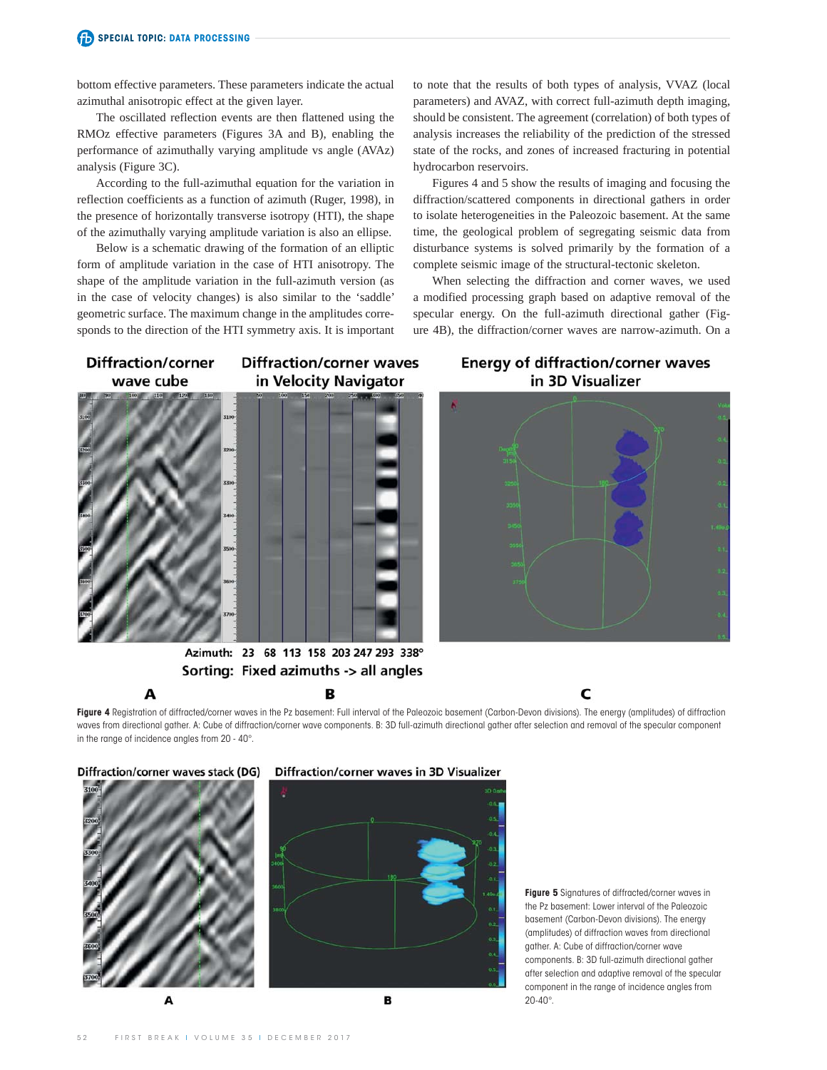bottom effective parameters. These parameters indicate the actual azimuthal anisotropic effect at the given layer.

The oscillated reflection events are then flattened using the RMOz effective parameters (Figures 3A and B), enabling the performance of azimuthally varying amplitude vs angle (AVAz) analysis (Figure 3C).

According to the full-azimuthal equation for the variation in reflection coefficients as a function of azimuth (Ruger, 1998), in the presence of horizontally transverse isotropy (HTI), the shape of the azimuthally varying amplitude variation is also an ellipse.

Below is a schematic drawing of the formation of an elliptic form of amplitude variation in the case of HTI anisotropy. The shape of the amplitude variation in the full-azimuth version (as in the case of velocity changes) is also similar to the 'saddle' geometric surface. The maximum change in the amplitudes corresponds to the direction of the HTI symmetry axis. It is important to note that the results of both types of analysis, VVAZ (local parameters) and AVAZ, with correct full-azimuth depth imaging, should be consistent. The agreement (correlation) of both types of analysis increases the reliability of the prediction of the stressed state of the rocks, and zones of increased fracturing in potential hydrocarbon reservoirs.

Figures 4 and 5 show the results of imaging and focusing the diffraction/scattered components in directional gathers in order to isolate heterogeneities in the Paleozoic basement. At the same time, the geological problem of segregating seismic data from disturbance systems is solved primarily by the formation of a complete seismic image of the structural-tectonic skeleton.

When selecting the diffraction and corner waves, we used a modified processing graph based on adaptive removal of the specular energy. On the full-azimuth directional gather (Figure 4B), the diffraction/corner waves are narrow-azimuth. On a



A

**Diffraction/corner waves** in Velocity Navigator

**Energy of diffraction/corner waves** in 3D Visualizer



c

Azimuth: 23 68 113 158 203 247 293 338° Sorting: Fixed azimuths -> all angles

в

Figure 4 Registration of diffracted/corner waves in the Pz basement: Full interval of the Paleozoic basement (Carbon-Devon divisions). The energy (amplitudes) of diffraction waves from directional gather. A: Cube of diffraction/corner wave components. B: 3D full-azimuth directional gather after selection and removal of the specular component in the range of incidence angles from 20 - 40°.



**Figure 5** Signatures of diffracted/corner waves in the Pz basement: Lower interval of the Paleozoic basement (Carbon-Devon divisions). The energy (amplitudes) of diffraction waves from directional gather. A: Cube of diffraction/corner wave components. B: 3D full-azimuth directional gather after selection and adaptive removal of the specular component in the range of incidence angles from 20-40°.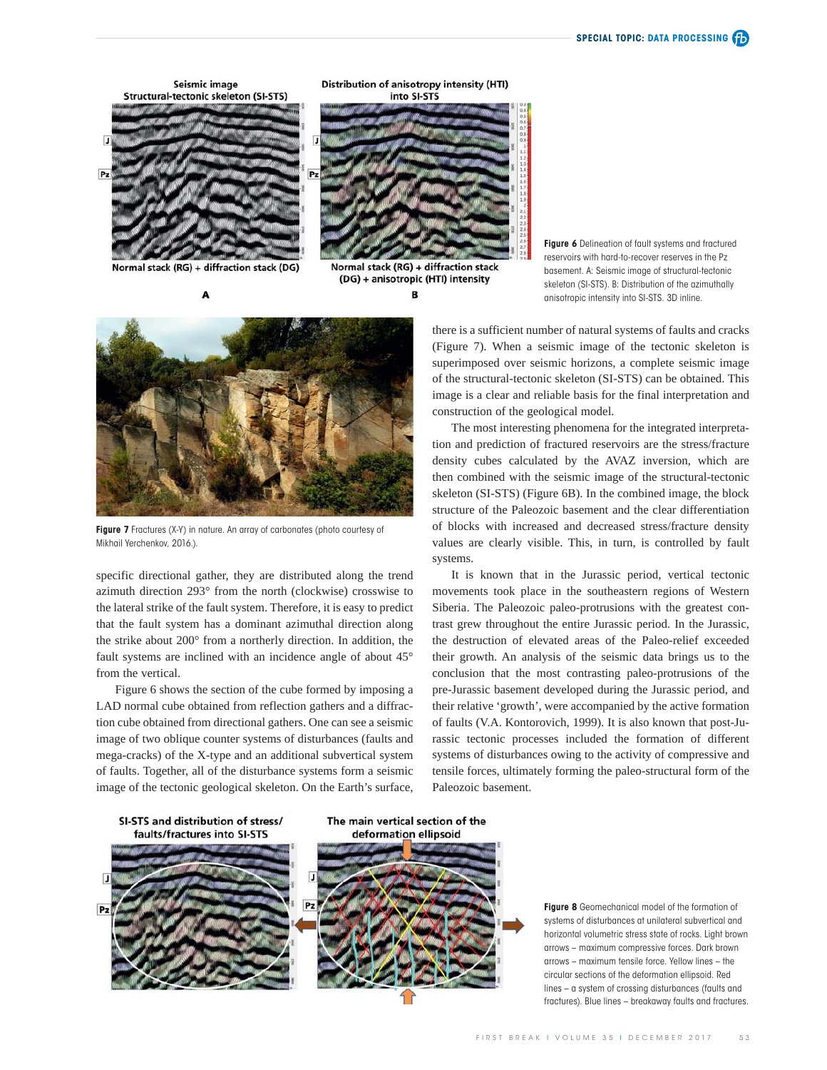

Normal stack (RG) + diffraction stack (DG) A

Normal stack (RG) + diffraction stack (DG) + anisotropic (HTI) intensity B





**Figure 7** Fractures (X-Y) in nature. An array of carbonates (photo courtesy of Mikhail Yerchenkov, 2016.).

specific directional gather, they are distributed along the trend azimuth direction 293° from the north (clockwise) crosswise to the lateral strike of the fault system. Therefore, it is easy to predict that the fault system has a dominant azimuthal direction along the strike about 200° from a northerly direction. In addition, the fault systems are inclined with an incidence angle of about 45° from the vertical.

Figure 6 shows the section of the cube formed by imposing a LAD normal cube obtained from reflection gathers and a diffraction cube obtained from directional gathers. One can see a seismic image of two oblique counter systems of disturbances (faults and mega-cracks) of the X-type and an additional subvertical system of faults. Together, all of the disturbance systems form a seismic image of the tectonic geological skeleton. On the Earth's surface,

**Figure 6** Delineation of fault systems and fractured reservoirs with hard-to-recover reserves in the Pz basement. A: Seismic image of structural-tectonic skeleton (SI-STS). B: Distribution of the azimuthally anisotropic intensity into SI-STS. 3D inline.

there is a sufficient number of natural systems of faults and cracks (Figure 7). When a seismic image of the tectonic skeleton is superimposed over seismic horizons, a complete seismic image of the structural-tectonic skeleton (SI-STS) can be obtained. This image is a clear and reliable basis for the final interpretation and construction of the geological model.

The most interesting phenomena for the integrated interpretation and prediction of fractured reservoirs are the stress/fracture density cubes calculated by the AVAZ inversion, which are then combined with the seismic image of the structural-tectonic skeleton (SI-STS) (Figure 6B). In the combined image, the block structure of the Paleozoic basement and the clear differentiation of blocks with increased and decreased stress/fracture density values are clearly visible. This, in turn, is controlled by fault systems.

It is known that in the Jurassic period, vertical tectonic movements took place in the southeastern regions of Western Siberia. The Paleozoic paleo-protrusions with the greatest contrast grew throughout the entire Jurassic period. In the Jurassic, the destruction of elevated areas of the Paleo-relief exceeded their growth. An analysis of the seismic data brings us to the conclusion that the most contrasting paleo-protrusions of the pre-Jurassic basement developed during the Jurassic period, and their relative 'growth', were accompanied by the active formation of faults (V.A. Kontorovich, 1999). It is also known that post-Jurassic tectonic processes included the formation of different systems of disturbances owing to the activity of compressive and tensile forces, ultimately forming the paleo-structural form of the Paleozoic basement.



**Figure 8** Geomechanical model of the formation of systems of disturbances at unilateral subvertical and horizontal volumetric stress state of rocks. Light brown arrows – maximum compressive forces. Dark brown arrows – maximum tensile force. Yellow lines – the circular sections of the deformation ellipsoid. Red lines – a system of crossing disturbances (faults and fractures). Blue lines – breakaway faults and fractures.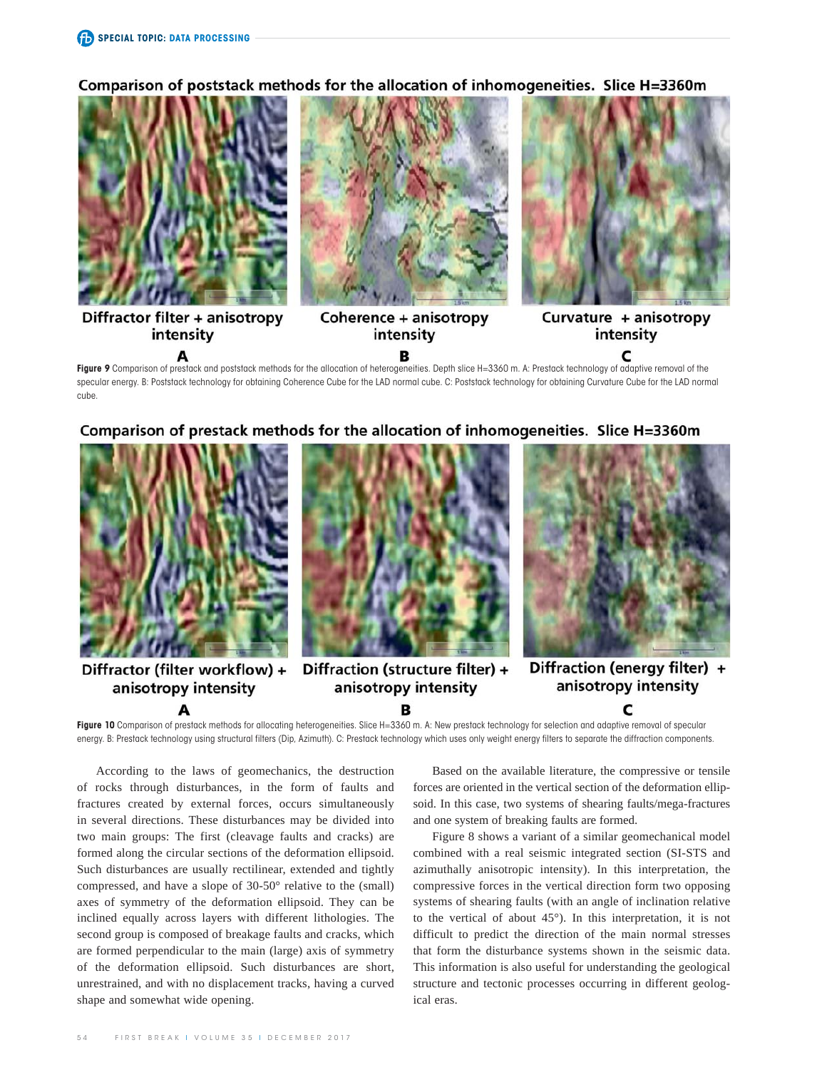Comparison of poststack methods for the allocation of inhomogeneities. Slice H=3360m



intensity

А

A

intensity



c

С

в

Figure 9 Comparison of prestack and poststack methods for the allocation of heterogeneities. Depth slice H=3360 m. A: Prestack technology of adaptive removal of the specular energy. B: Poststack technology for obtaining Coherence Cube for the LAD normal cube. C: Poststack technology for obtaining Curvature Cube for the LAD normal cube





в

Fiaure 10 Comparison of prestack methods for allocating heterogeneities. Slice H=3360 m. A: New prestack technology for selection and adaptive removal of specular energy. B: Prestack technology using structural filters (Dip, Azimuth). C: Prestack technology which uses only weight energy filters to separate the diffraction components.

According to the laws of geomechanics, the destruction of rocks through disturbances, in the form of faults and fractures created by external forces, occurs simultaneously in several directions. These disturbances may be divided into two main groups: The first (cleavage faults and cracks) are formed along the circular sections of the deformation ellipsoid. Such disturbances are usually rectilinear, extended and tightly compressed, and have a slope of 30-50° relative to the (small) axes of symmetry of the deformation ellipsoid. They can be inclined equally across layers with different lithologies. The second group is composed of breakage faults and cracks, which are formed perpendicular to the main (large) axis of symmetry of the deformation ellipsoid. Such disturbances are short, unrestrained, and with no displacement tracks, having a curved shape and somewhat wide opening.

Based on the available literature, the compressive or tensile forces are oriented in the vertical section of the deformation ellipsoid. In this case, two systems of shearing faults/mega-fractures and one system of breaking faults are formed.

Figure 8 shows a variant of a similar geomechanical model combined with a real seismic integrated section (SI-STS and azimuthally anisotropic intensity). In this interpretation, the compressive forces in the vertical direction form two opposing systems of shearing faults (with an angle of inclination relative to the vertical of about 45°). In this interpretation, it is not difficult to predict the direction of the main normal stresses that form the disturbance systems shown in the seismic data. This information is also useful for understanding the geological structure and tectonic processes occurring in different geological eras.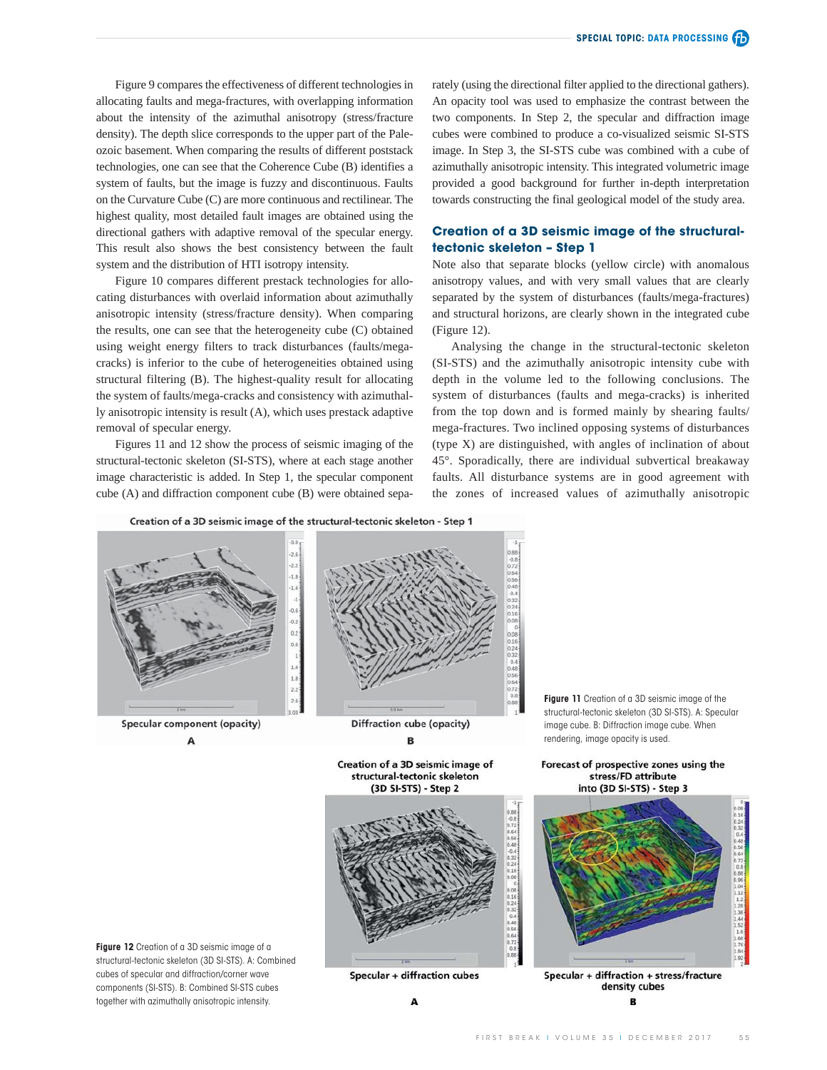Figure 9 compares the effectiveness of different technologies in allocating faults and mega-fractures, with overlapping information about the intensity of the azimuthal anisotropy (stress/fracture density). The depth slice corresponds to the upper part of the Paleozoic basement. When comparing the results of different poststack technologies, one can see that the Coherence Cube (B) identifies a system of faults, but the image is fuzzy and discontinuous. Faults on the Curvature Cube (C) are more continuous and rectilinear. The highest quality, most detailed fault images are obtained using the directional gathers with adaptive removal of the specular energy. This result also shows the best consistency between the fault system and the distribution of HTI isotropy intensity.

Figure 10 compares different prestack technologies for allocating disturbances with overlaid information about azimuthally anisotropic intensity (stress/fracture density). When comparing the results, one can see that the heterogeneity cube (C) obtained using weight energy filters to track disturbances (faults/megacracks) is inferior to the cube of heterogeneities obtained using structural filtering (B). The highest-quality result for allocating the system of faults/mega-cracks and consistency with azimuthally anisotropic intensity is result (A), which uses prestack adaptive removal of specular energy.

Figures 11 and 12 show the process of seismic imaging of the structural-tectonic skeleton (SI-STS), where at each stage another image characteristic is added. In Step 1, the specular component cube (A) and diffraction component cube (B) were obtained separately (using the directional filter applied to the directional gathers). An opacity tool was used to emphasize the contrast between the two components. In Step 2, the specular and diffraction image cubes were combined to produce a co-visualized seismic SI-STS image. In Step 3, the SI-STS cube was combined with a cube of azimuthally anisotropic intensity. This integrated volumetric image provided a good background for further in-depth interpretation towards constructing the final geological model of the study area.

## **Creation of a 3D seismic image of the structuraltectonic skeleton – Step 1**

Note also that separate blocks (yellow circle) with anomalous anisotropy values, and with very small values that are clearly separated by the system of disturbances (faults/mega-fractures) and structural horizons, are clearly shown in the integrated cube (Figure 12).

Analysing the change in the structural-tectonic skeleton (SI-STS) and the azimuthally anisotropic intensity cube with depth in the volume led to the following conclusions. The system of disturbances (faults and mega-cracks) is inherited from the top down and is formed mainly by shearing faults/ mega-fractures. Two inclined opposing systems of disturbances (type X) are distinguished, with angles of inclination of about 45°. Sporadically, there are individual subvertical breakaway faults. All disturbance systems are in good agreement with the zones of increased values of azimuthally anisotropic

Creation of a 3D seismic image of the structural-tectonic skeleton - Step 1



B

Creation of a 3D seismic image of structural-tectonic skeleton (3D SI-STS) - Step 2



**Figure 12** Creation of a 3D seismic image of a structural-tectonic skeleton (3D SI-STS). A: Combined cubes of specular and diffraction/corner wave components (SI-STS). B: Combined SI-STS cubes together with azimuthally anisotropic intensity.

A

**Specular + diffraction cubes** 

**Figure 11** Creation of a 3D seismic image of the structural-tectonic skeleton (3D SI-STS). A: Specular image cube. B: Diffraction image cube. When rendering, image opacity is used.

Forecast of prospective zones using the stress/FD attribute into (3D SI-STS) - Step 3

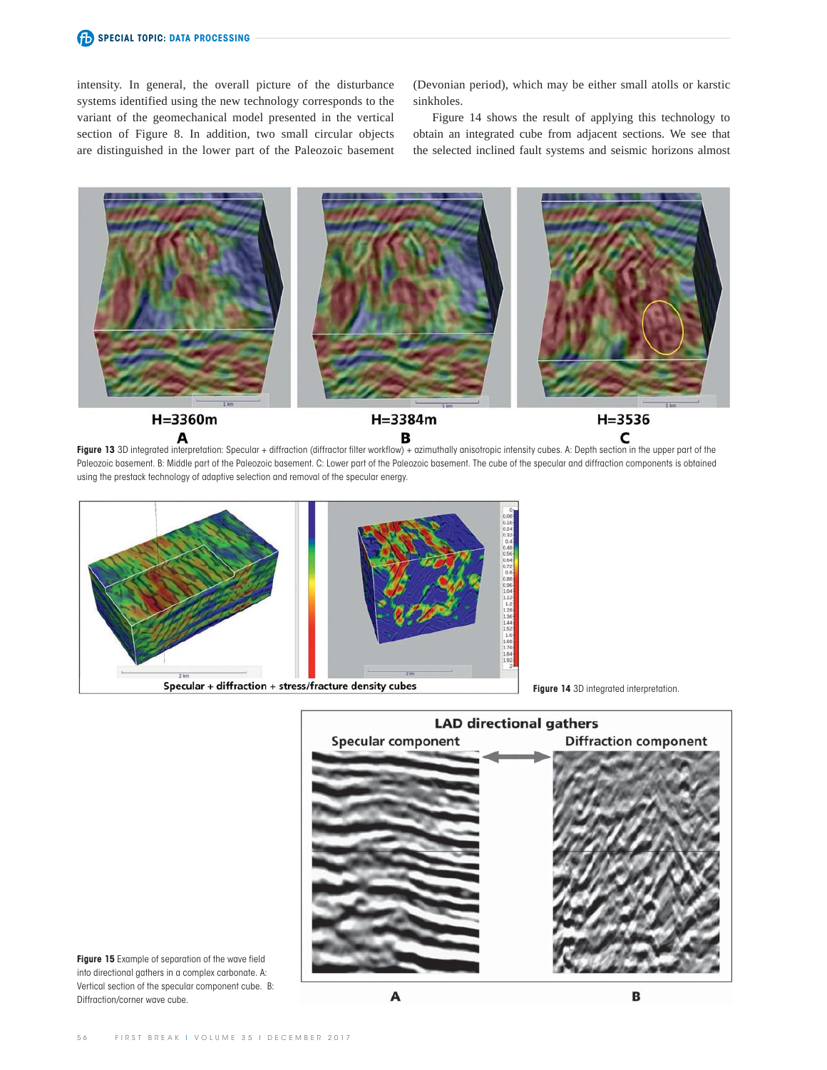intensity. In general, the overall picture of the disturbance systems identified using the new technology corresponds to the variant of the geomechanical model presented in the vertical section of Figure 8. In addition, two small circular objects are distinguished in the lower part of the Paleozoic basement (Devonian period), which may be either small atolls or karstic sinkholes.

Figure 14 shows the result of applying this technology to obtain an integrated cube from adjacent sections. We see that the selected inclined fault systems and seismic horizons almost



**Figure 13** 3D integrated interpretation: Specular + diffraction (diffractor filter workflow) + azimuthally anisotropic intensity cubes. A: Depth section in the upper part of the Paleozoic basement. B: Middle part of the Paleozoic basement. C: Lower part of the Paleozoic basement. The cube of the specular and diffraction components is obtained using the prestack technology of adaptive selection and removal of the specular energy.



**Figure 14** 3D integrated interpretation.



**Figure 15** Example of separation of the wave field into directional gathers in a complex carbonate. A: Vertical section of the specular component cube. B: Diffraction/corner wave cube.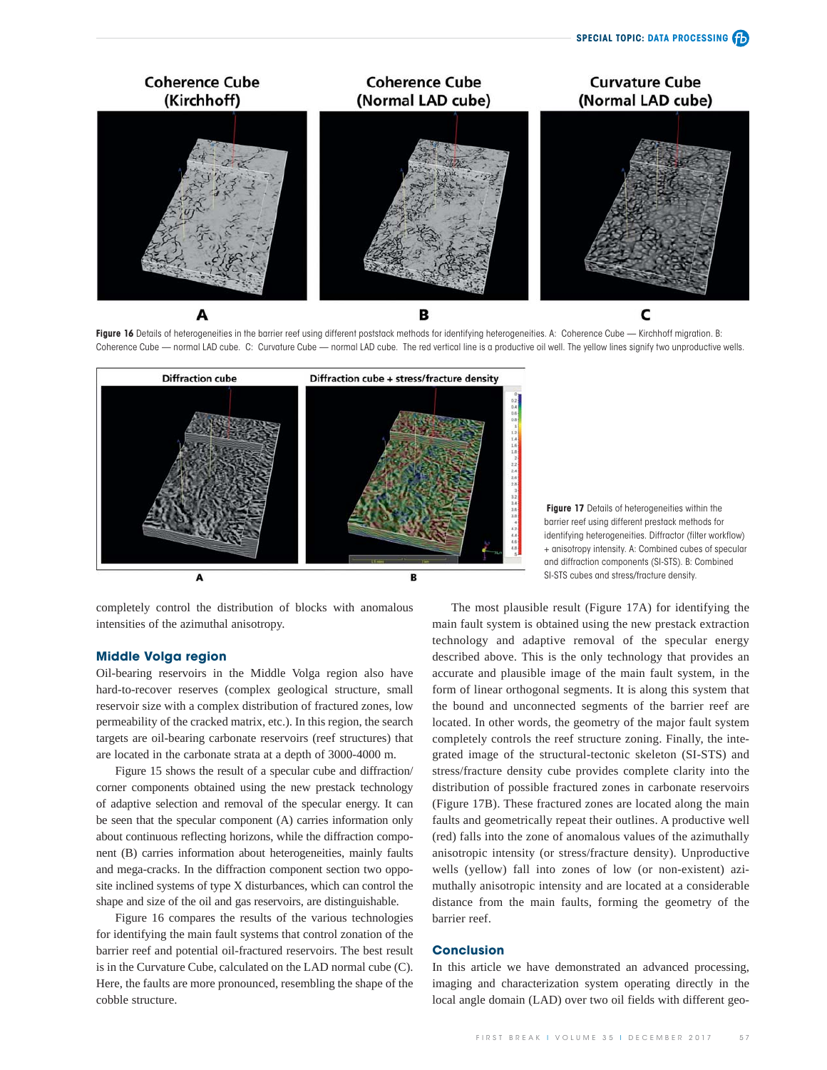

Figure 16 Details of heterogeneities in the barrier reef using different poststack methods for identifying heterogeneities. A: Coherence Cube - Kirchhoff migration. B: Coherence Cube — normal LAD cube. C: Curvature Cube — normal LAD cube. The red vertical line is a productive oil well. The yellow lines signify two unproductive wells.



completely control the distribution of blocks with anomalous intensities of the azimuthal anisotropy.

#### **Middle Volga region**

Oil-bearing reservoirs in the Middle Volga region also have hard-to-recover reserves (complex geological structure, small reservoir size with a complex distribution of fractured zones, low permeability of the cracked matrix, etc.). In this region, the search targets are oil-bearing carbonate reservoirs (reef structures) that are located in the carbonate strata at a depth of 3000-4000 m.

Figure 15 shows the result of a specular cube and diffraction/ corner components obtained using the new prestack technology of adaptive selection and removal of the specular energy. It can be seen that the specular component (A) carries information only about continuous reflecting horizons, while the diffraction component (B) carries information about heterogeneities, mainly faults and mega-cracks. In the diffraction component section two opposite inclined systems of type X disturbances, which can control the shape and size of the oil and gas reservoirs, are distinguishable.

Figure 16 compares the results of the various technologies for identifying the main fault systems that control zonation of the barrier reef and potential oil-fractured reservoirs. The best result is in the Curvature Cube, calculated on the LAD normal cube (C). Here, the faults are more pronounced, resembling the shape of the cobble structure.

**Figure 17** Details of heterogeneities within the barrier reef using different prestack methods for identifying heterogeneities. Diffractor (filter workflow) + anisotropy intensity. A: Combined cubes of specular and diffraction components (SI-STS). B: Combined SI-STS cubes and stress/fracture density.

The most plausible result (Figure 17A) for identifying the main fault system is obtained using the new prestack extraction technology and adaptive removal of the specular energy described above. This is the only technology that provides an accurate and plausible image of the main fault system, in the form of linear orthogonal segments. It is along this system that the bound and unconnected segments of the barrier reef are located. In other words, the geometry of the major fault system completely controls the reef structure zoning. Finally, the integrated image of the structural-tectonic skeleton (SI-STS) and stress/fracture density cube provides complete clarity into the distribution of possible fractured zones in carbonate reservoirs (Figure 17B). These fractured zones are located along the main faults and geometrically repeat their outlines. A productive well (red) falls into the zone of anomalous values of the azimuthally anisotropic intensity (or stress/fracture density). Unproductive wells (yellow) fall into zones of low (or non-existent) azimuthally anisotropic intensity and are located at a considerable distance from the main faults, forming the geometry of the barrier reef.

#### **Conclusion**

In this article we have demonstrated an advanced processing, imaging and characterization system operating directly in the local angle domain (LAD) over two oil fields with different geo